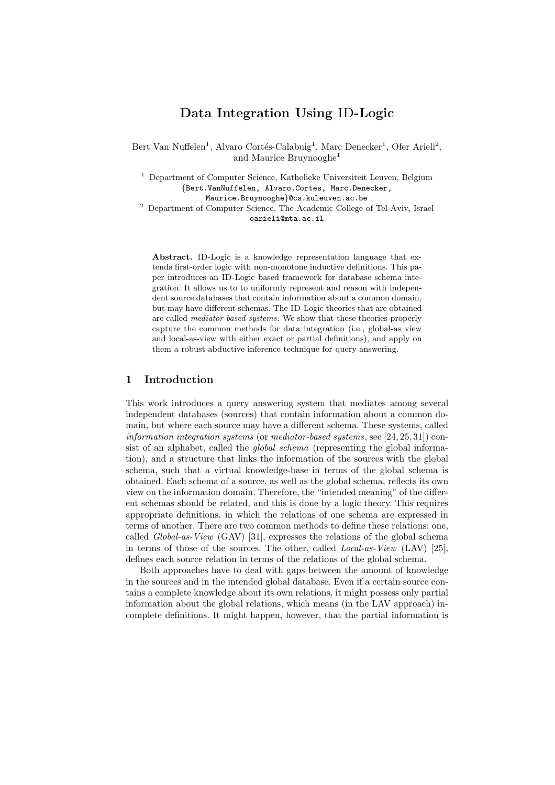# Data Integration Using ID-Logic

Bert Van Nuffelen<sup>1</sup>, Alvaro Cortés-Calabuig<sup>1</sup>, Marc Denecker<sup>1</sup>, Ofer Arieli<sup>2</sup>, and Maurice Bruynooghe<sup>1</sup>

<sup>1</sup> Department of Computer Science, Katholieke Universiteit Leuven, Belgium {Bert.VanNuffelen, Alvaro.Cortes, Marc.Denecker, Maurice.Bruynooghe}@cs.kuleuven.ac.be

<sup>2</sup> Department of Computer Science, The Academic College of Tel-Aviv, Israel oarieli@mta.ac.il

Abstract. ID-Logic is a knowledge representation language that extends first-order logic with non-monotone inductive definitions. This paper introduces an ID-Logic based framework for database schema integration. It allows us to to uniformly represent and reason with independent source databases that contain information about a common domain, but may have different schemas. The ID-Logic theories that are obtained are called mediator-based systems. We show that these theories properly capture the common methods for data integration (i.e., global-as view and local-as-view with either exact or partial definitions), and apply on them a robust abductive inference technique for query answering.

## 1 Introduction

This work introduces a query answering system that mediates among several independent databases (sources) that contain information about a common domain, but where each source may have a different schema. These systems, called information integration systems (or mediator-based systems, see  $[24, 25, 31]$ ) consist of an alphabet, called the *global schema* (representing the global information), and a structure that links the information of the sources with the global schema, such that a virtual knowledge-base in terms of the global schema is obtained. Each schema of a source, as well as the global schema, reflects its own view on the information domain. Therefore, the "intended meaning" of the different schemas should be related, and this is done by a logic theory. This requires appropriate definitions, in which the relations of one schema are expressed in terms of another. There are two common methods to define these relations: one, called Global-as-View (GAV) [31], expresses the relations of the global schema in terms of those of the sources. The other, called Local-as-View (LAV) [25], defines each source relation in terms of the relations of the global schema.

Both approaches have to deal with gaps between the amount of knowledge in the sources and in the intended global database. Even if a certain source contains a complete knowledge about its own relations, it might possess only partial information about the global relations, which means (in the LAV approach) incomplete definitions. It might happen, however, that the partial information is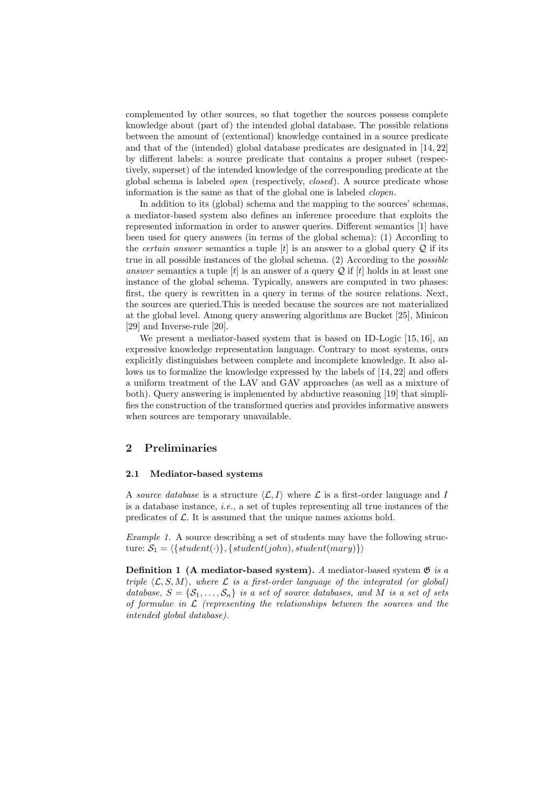complemented by other sources, so that together the sources possess complete knowledge about (part of) the intended global database. The possible relations between the amount of (extentional) knowledge contained in a source predicate and that of the (intended) global database predicates are designated in [14, 22] by different labels: a source predicate that contains a proper subset (respectively, superset) of the intended knowledge of the corresponding predicate at the global schema is labeled open (respectively, closed). A source predicate whose information is the same as that of the global one is labeled clopen.

In addition to its (global) schema and the mapping to the sources' schemas, a mediator-based system also defines an inference procedure that exploits the represented information in order to answer queries. Different semantics [1] have been used for query answers (in terms of the global schema): (1) According to the *certain answer* semantics a tuple  $[t]$  is an answer to a global query  $Q$  if its true in all possible instances of the global schema. (2) According to the possible answer semantics a tuple  $[t]$  is an answer of a query Q if  $[t]$  holds in at least one instance of the global schema. Typically, answers are computed in two phases: first, the query is rewritten in a query in terms of the source relations. Next, the sources are queried.This is needed because the sources are not materialized at the global level. Among query answering algorithms are Bucket [25], Minicon [29] and Inverse-rule [20].

We present a mediator-based system that is based on ID-Logic [15, 16], an expressive knowledge representation language. Contrary to most systems, ours explicitly distinguishes between complete and incomplete knowledge. It also allows us to formalize the knowledge expressed by the labels of [14, 22] and offers a uniform treatment of the LAV and GAV approaches (as well as a mixture of both). Query answering is implemented by abductive reasoning [19] that simplifies the construction of the transformed queries and provides informative answers when sources are temporary unavailable.

# 2 Preliminaries

### 2.1 Mediator-based systems

A source database is a structure  $\langle \mathcal{L}, I \rangle$  where  $\mathcal L$  is a first-order language and I is a database instance, *i.e.*, a set of tuples representing all true instances of the predicates of  $\mathcal{L}$ . It is assumed that the unique names axioms hold.

Example 1. A source describing a set of students may have the following structure:  $S_1 = \langle \{student(\cdot)\}, \{student(john), student(mary)\}\rangle$ 

**Definition 1 (A mediator-based system).** A mediator-based system  $\mathfrak{G}$  is a triple  $\langle \mathcal{L}, S, M \rangle$ , where  $\mathcal L$  is a first-order language of the integrated (or global) database,  $S = \{S_1, \ldots, S_n\}$  is a set of source databases, and M is a set of sets of formulae in  $\mathcal L$  (representing the relationships between the sources and the intended global database).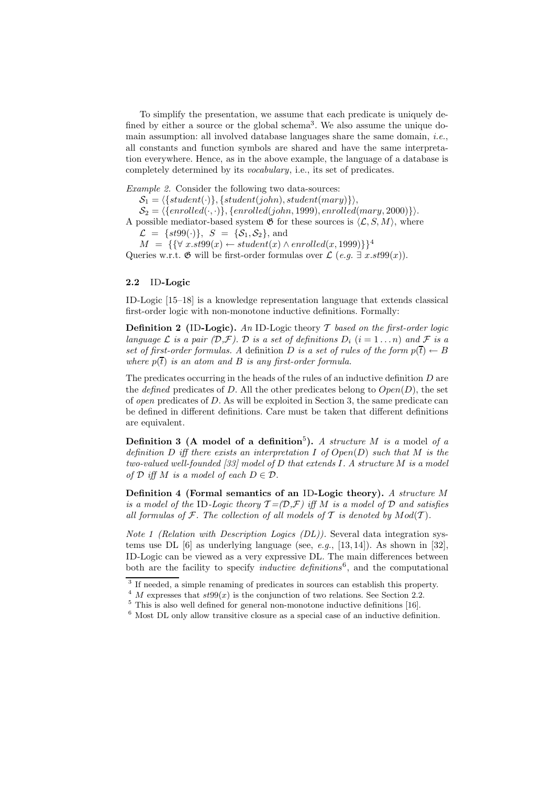To simplify the presentation, we assume that each predicate is uniquely defined by either a source or the global schema<sup>3</sup>. We also assume the unique domain assumption: all involved database languages share the same domain, *i.e.*, all constants and function symbols are shared and have the same interpretation everywhere. Hence, as in the above example, the language of a database is completely determined by its vocabulary, i.e., its set of predicates.

Example 2. Consider the following two data-sources:

 $S_1 = \langle \{student(\cdot)\}, \{student(john), student(mary)\}\rangle,$ 

 $S_2 = \{\{enrolled(\cdot, \cdot)\}, \{enrolled(john, 1999), enrolled(mary, 2000)\}\}.$ 

A possible mediator-based system  $\mathfrak{G}$  for these sources is  $\langle \mathcal{L}, S, M \rangle$ , where

 $\mathcal{L} = \{st99(\cdot)\}, S = \{\mathcal{S}_1, \mathcal{S}_2\}, \text{and}$ 

 $M = {\forall x.st99(x) \leftarrow student(x) \land enrolled(x, 1999)}$ Queries w.r.t.  $\mathfrak{G}$  will be first-order formulas over  $\mathcal{L}$  (e.g.  $\exists x.st99(x)$ ).

#### 2.2 ID-Logic

ID-Logic [15–18] is a knowledge representation language that extends classical first-order logic with non-monotone inductive definitions. Formally:

**Definition 2** (ID-Logic). An ID-Logic theory  $\mathcal T$  based on the first-order logic language  $\mathcal L$  is a pair  $(\mathcal D, \mathcal F)$ .  $\mathcal D$  is a set of definitions  $D_i$   $(i = 1 \dots n)$  and  $\mathcal F$  is a set of first-order formulas. A definition D is a set of rules of the form  $p(\overline{t}) \leftarrow B$ where  $p(\bar{t})$  is an atom and B is any first-order formula.

The predicates occurring in the heads of the rules of an inductive definition  $D$  are the *defined* predicates of D. All the other predicates belong to  $Open(D)$ , the set of open predicates of D. As will be exploited in Section 3, the same predicate can be defined in different definitions. Care must be taken that different definitions are equivalent.

Definition 3 (A model of a definition<sup>5</sup>). A structure M is a model of a definition  $D$  iff there exists an interpretation  $I$  of  $Open(D)$  such that  $M$  is the two-valued well-founded [33] model of D that extends I. A structure M is a model of  $D$  iff M is a model of each  $D \in \mathcal{D}$ .

Definition 4 (Formal semantics of an ID-Logic theory). A structure M is a model of the ID-Logic theory  $\mathcal{T} = (\mathcal{D}, \mathcal{F})$  iff M is a model of D and satisfies all formulas of  $\mathcal F$ . The collection of all models of  $\mathcal T$  is denoted by  $Mod(\mathcal T)$ .

Note 1 (Relation with Description Logics (DL)). Several data integration systems use DL  $[6]$  as underlying language (see, e.g.,  $[13, 14]$ ). As shown in  $[32]$ , ID-Logic can be viewed as a very expressive DL. The main differences between both are the facility to specify *inductive definitions*<sup>6</sup>, and the computational

<sup>&</sup>lt;sup>3</sup> If needed, a simple renaming of predicates in sources can establish this property.

<sup>&</sup>lt;sup>4</sup> M expresses that  $st99(x)$  is the conjunction of two relations. See Section 2.2.

<sup>5</sup> This is also well defined for general non-monotone inductive definitions [16].

<sup>6</sup> Most DL only allow transitive closure as a special case of an inductive definition.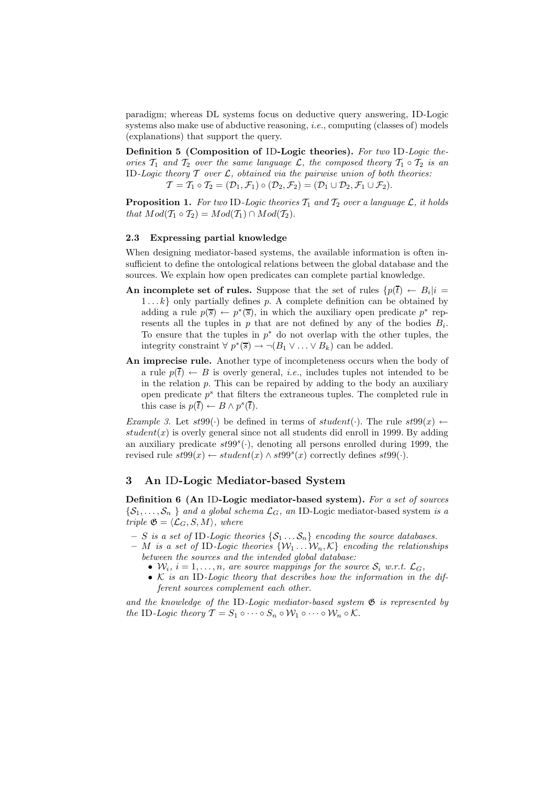paradigm; whereas DL systems focus on deductive query answering, ID-Logic systems also make use of abductive reasoning, *i.e.*, computing (classes of) models (explanations) that support the query.

Definition 5 (Composition of ID-Logic theories). For two ID-Logic theories  $T_1$  and  $T_2$  over the same language  $\mathcal{L}$ , the composed theory  $T_1 \circ T_2$  is an ID-Logic theory  $\mathcal T$  over  $\mathcal L$ , obtained via the pairwise union of both theories:  $\mathcal{T} = \mathcal{T}_1 \circ \mathcal{T}_2 = (\mathcal{D}_1, \mathcal{F}_1) \circ (\mathcal{D}_2, \mathcal{F}_2) = (\mathcal{D}_1 \cup \mathcal{D}_2, \mathcal{F}_1 \cup \mathcal{F}_2).$ 

**Proposition 1.** For two ID-Logic theories  $\mathcal{T}_1$  and  $\mathcal{T}_2$  over a language  $\mathcal{L}$ , it holds that  $Mod(\mathcal{T}_1 \circ \mathcal{T}_2) = Mod(\mathcal{T}_1) \cap Mod(\mathcal{T}_2)$ .

### 2.3 Expressing partial knowledge

When designing mediator-based systems, the available information is often insufficient to define the ontological relations between the global database and the sources. We explain how open predicates can complete partial knowledge.

- An incomplete set of rules. Suppose that the set of rules  $\{p(\bar{t}) \leftarrow B_i | i =$  $1...k$  only partially defines p. A complete definition can be obtained by adding a rule  $p(\overline{s}) \leftarrow p^*(\overline{s})$ , in which the auxiliary open predicate  $p^*$  represents all the tuples in  $p$  that are not defined by any of the bodies  $B_i$ . To ensure that the tuples in  $p^*$  do not overlap with the other tuples, the integrity constraint  $\forall p^*(\overline{s}) \rightarrow \neg(B_1 \vee \ldots \vee B_k)$  can be added.
- An imprecise rule. Another type of incompleteness occurs when the body of a rule  $p(\overline{t}) \leftarrow B$  is overly general, *i.e.*, includes tuples not intended to be in the relation p. This can be repaired by adding to the body an auxiliary open predicate  $p^s$  that filters the extraneous tuples. The completed rule in this case is  $p(\overline{t}) \leftarrow B \land p^s(\overline{t}).$

Example 3. Let  $st99(\cdot)$  be defined in terms of  $student(\cdot)$ . The rule  $st99(x) \leftarrow$  $student(x)$  is overly general since not all students did enroll in 1999. By adding an auxiliary predicate  $st99<sup>s</sup>(.)$ , denoting all persons enrolled during 1999, the revised rule  $st99(x) \leftarrow student(x) \wedge st99^s(x)$  correctly defines  $st99(\cdot)$ .

# 3 An ID-Logic Mediator-based System

Definition 6 (An ID-Logic mediator-based system). For a set of sources  $\{\mathcal{S}_1,\ldots,\mathcal{S}_n\}$  and a global schema  $\mathcal{L}_G$ , an ID-Logic mediator-based system is a triple  $\mathfrak{G} = \langle \mathcal{L}_G, S, M \rangle$ , where

- S is a set of ID-Logic theories  $\{S_1 \ldots S_n\}$  encoding the source databases.
- M is a set of ID-Logic theories  $\{W_1, \ldots, W_n, \mathcal{K}\}\$  encoding the relationships between the sources and the intended global database:
	- $W_i$ ,  $i = 1, \ldots, n$ , are source mappings for the source  $S_i$  w.r.t.  $\mathcal{L}_G$ ,
	- $K$  is an ID-Logic theory that describes how the information in the different sources complement each other.

and the knowledge of the ID-Logic mediator-based system  $\mathfrak G$  is represented by the ID-Logic theory  $\mathcal{T} = S_1 \circ \cdots \circ S_n \circ \mathcal{W}_1 \circ \cdots \circ \mathcal{W}_n \circ \mathcal{K}$ .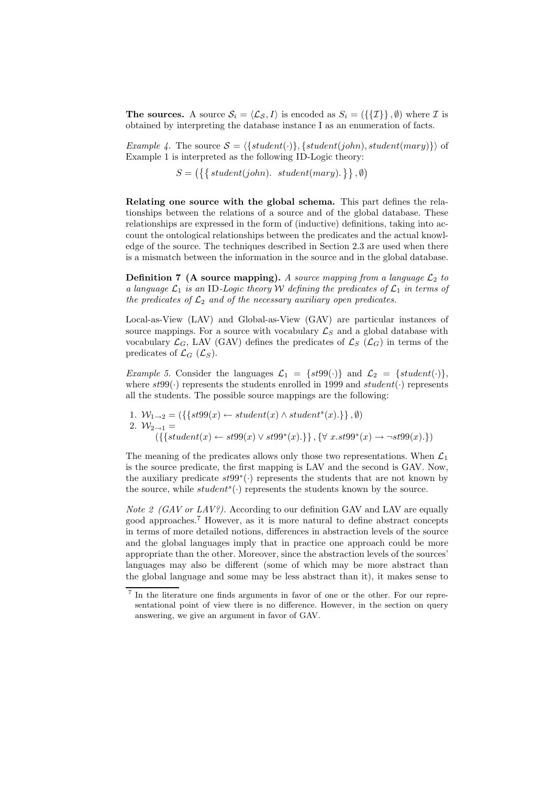**The sources.** A source  $S_i = \langle \mathcal{L}_S, I \rangle$  is encoded as  $S_i = (\{\{\mathcal{I}\}\}\, \emptyset)$  where  $\mathcal{I}$  is obtained by interpreting the database instance I as an enumeration of facts.

*Example 4.* The source  $S = \langle \{student(\cdot)\}, \{student(john), student(mary)\}\rangle$  of Example 1 is interpreted as the following ID-Logic theory:

 $S = (\{\{\text{student}(john). \ \ \text{student}(mary). \ \}\}, \emptyset)$ 

Relating one source with the global schema. This part defines the relationships between the relations of a source and of the global database. These relationships are expressed in the form of (inductive) definitions, taking into account the ontological relationships between the predicates and the actual knowledge of the source. The techniques described in Section 2.3 are used when there is a mismatch between the information in the source and in the global database.

**Definition 7** (A source mapping). A source mapping from a language  $\mathcal{L}_2$  to a language  $\mathcal{L}_1$  is an ID-Logic theory W defining the predicates of  $\mathcal{L}_1$  in terms of the predicates of  $\mathcal{L}_2$  and of the necessary auxiliary open predicates.

Local-as-View (LAV) and Global-as-View (GAV) are particular instances of source mappings. For a source with vocabulary  $\mathcal{L}_S$  and a global database with vocabulary  $\mathcal{L}_G$ , LAV (GAV) defines the predicates of  $\mathcal{L}_S$  ( $\mathcal{L}_G$ ) in terms of the predicates of  $\mathcal{L}_G$  ( $\mathcal{L}_S$ ).

*Example 5.* Consider the languages  $\mathcal{L}_1 = \{st99(\cdot)\}\$  and  $\mathcal{L}_2 = \{student(\cdot)\}\$ where  $st99(\cdot)$  represents the students enrolled in 1999 and  $student(\cdot)$  represents all the students. The possible source mappings are the following:

1. 
$$
\mathcal{W}_{1\rightarrow 2} = (\{\{st99(x) \leftarrow student(x) \land student^s(x).\}\}, \emptyset)
$$
\n2.  $\mathcal{W}_{2\rightarrow 1} = (\{\{student(x) \leftarrow st99(x) \lor st99^*(x).\}\}, \{\forall x.st99^*(x) \rightarrow \neg st99(x).\})$ 

The meaning of the predicates allows only those two representations. When  $\mathcal{L}_1$ is the source predicate, the first mapping is LAV and the second is GAV. Now, the auxiliary predicate st99<sup>∗</sup> (·) represents the students that are not known by the source, while  $student^s(\cdot)$  represents the students known by the source.

Note  $2$  (GAV or LAV?). According to our definition GAV and LAV are equally good approaches.<sup>7</sup> However, as it is more natural to define abstract concepts in terms of more detailed notions, differences in abstraction levels of the source and the global languages imply that in practice one approach could be more appropriate than the other. Moreover, since the abstraction levels of the sources' languages may also be different (some of which may be more abstract than the global language and some may be less abstract than it), it makes sense to

<sup>7</sup> In the literature one finds arguments in favor of one or the other. For our representational point of view there is no difference. However, in the section on query answering, we give an argument in favor of GAV.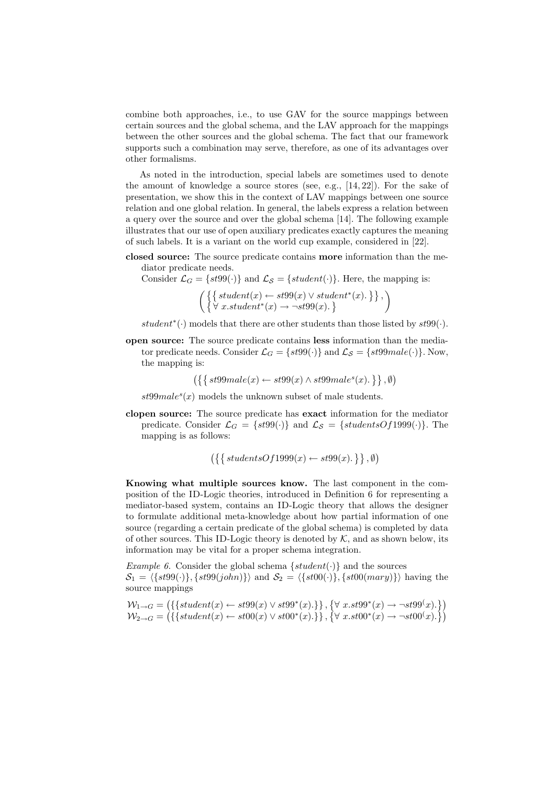combine both approaches, i.e., to use GAV for the source mappings between certain sources and the global schema, and the LAV approach for the mappings between the other sources and the global schema. The fact that our framework supports such a combination may serve, therefore, as one of its advantages over other formalisms.

As noted in the introduction, special labels are sometimes used to denote the amount of knowledge a source stores (see, e.g.,  $[14, 22]$ ). For the sake of presentation, we show this in the context of LAV mappings between one source relation and one global relation. In general, the labels express a relation between a query over the source and over the global schema [14]. The following example illustrates that our use of open auxiliary predicates exactly captures the meaning of such labels. It is a variant on the world cup example, considered in [22].

closed source: The source predicate contains more information than the mediator predicate needs.

Consider  $\mathcal{L}_G = \{st99(\cdot)\}\$  and  $\mathcal{L}_{\mathcal{S}} = \{student(\cdot)\}\$ . Here, the mapping is:

$$
\left(\left\{\left\{student(x) \leftarrow st99(x) \lor student^*(x). \right\}\right\},\right)\newline \left\{\forall x.student^*(x) \rightarrow \neg st99(x). \right\}\right)
$$

 $student^*(·)$  models that there are other students than those listed by  $st99(·)$ .

open source: The source predicate contains less information than the mediator predicate needs. Consider  $\mathcal{L}_G = \{st99(\cdot)\}\$  and  $\mathcal{L}_S = \{st99male(\cdot)\}\$ . Now, the mapping is:

 $(\{\{st99male(x) \leftarrow st99(x) \land st99male^s(x).\}\}, \emptyset)$ 

 $st99 male<sup>s</sup>(x)$  models the unknown subset of male students.

clopen source: The source predicate has exact information for the mediator predicate. Consider  $\mathcal{L}_G = \{st99(\cdot)\}\$ and  $\mathcal{L}_S = \{studentsOf1999(\cdot)\}\$ . The mapping is as follows:

$$
\left(\left\{\left\{ \left| \left( \mathbf{x} \right) \right| \left( \mathbf{x} \right) \right| \left( \mathbf{x} \right) \right| \left( \mathbf{x} \right) \right| \left( \mathbf{x} \right) \left( \mathbf{x} \right) \right\} \left\}, \emptyset \right)
$$

Knowing what multiple sources know. The last component in the composition of the ID-Logic theories, introduced in Definition 6 for representing a mediator-based system, contains an ID-Logic theory that allows the designer to formulate additional meta-knowledge about how partial information of one source (regarding a certain predicate of the global schema) is completed by data of other sources. This ID-Logic theory is denoted by  $K$ , and as shown below, its information may be vital for a proper schema integration.

*Example 6.* Consider the global schema  $\{student(\cdot)\}\$  and the sources  $S_1 = \langle \{st99(\cdot)\}, \{st99(john)\}\rangle$  and  $S_2 = \langle \{st00(\cdot)\}, \{st00(mary)\}\rangle$  having the source mappings

$$
\mathcal{W}_{1\rightarrow G} = \left( \{ \{ student(x) \leftarrow st99(x) \lor st99^*(x). \} \}, \{ \forall x.st99^*(x) \rightarrow \neg st99(x). \} \right) \newline \mathcal{W}_{2\rightarrow G} = \left( \{ \{ student(x) \leftarrow st00(x) \lor st00^*(x). \} \}, \{ \forall x.st00^*(x) \rightarrow \neg st00(x). \} \right)
$$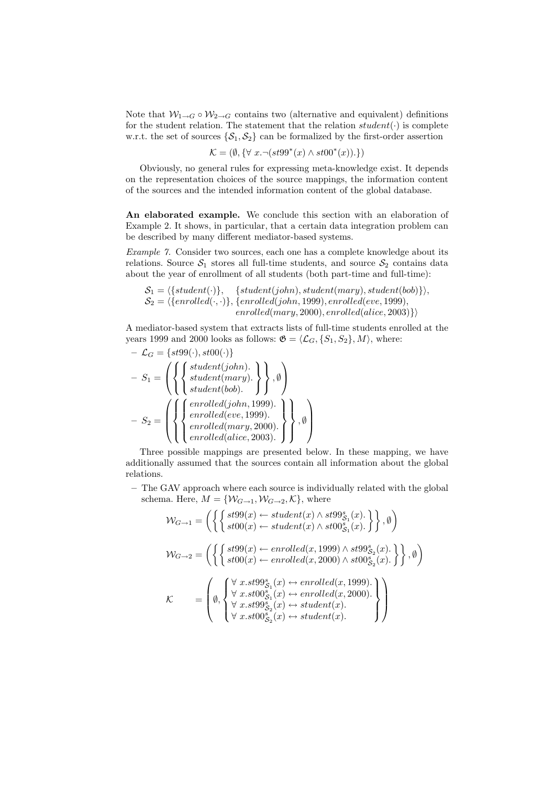Note that  $W_{1\rightarrow G} \circ W_{2\rightarrow G}$  contains two (alternative and equivalent) definitions for the student relation. The statement that the relation  $student(\cdot)$  is complete w.r.t. the set of sources  $\{S_1, S_2\}$  can be formalized by the first-order assertion

$$
\mathcal{K} = (\emptyset, \{ \forall x. \neg (st99^*(x) \land st00^*(x)).\})
$$

Obviously, no general rules for expressing meta-knowledge exist. It depends on the representation choices of the source mappings, the information content of the sources and the intended information content of the global database.

An elaborated example. We conclude this section with an elaboration of Example 2. It shows, in particular, that a certain data integration problem can be described by many different mediator-based systems.

Example 7. Consider two sources, each one has a complete knowledge about its relations. Source  $S_1$  stores all full-time students, and source  $S_2$  contains data about the year of enrollment of all students (both part-time and full-time):

$$
S_1 = \langle \{student(\cdot)\}, \{student(john), student(mary), student(bob)\} \rangle, S_2 = \langle \{enrolled(\cdot, \cdot)\}, \{enrolled(john, 1999), enrolled(eve, 1999),enrolled(mary, 2000), enrolled(alice, 2003)\} \rangle
$$

A mediator-based system that extracts lists of full-time students enrolled at the years 1999 and 2000 looks as follows:  $\mathfrak{G} = \langle \mathcal{L}_G, \{S_1, S_2\}, M \rangle$ , where:

$$
- \mathcal{L}_G = \{st99(\cdot), st00(\cdot)\}\
$$
  
\n
$$
- S_1 = \left( \left\{ \left\{ \begin{matrix} student(john). \\ student(mary). \\ student(bob). \end{matrix} \right\}, \emptyset \right\} \right)
$$
  
\n
$$
- S_2 = \left( \left\{ \left\{ \begin{matrix} enrolled(john, 1999). \\ enrolled(eve, 1999). \\ enrolled(mary, 2000). \\ enrolled(alice, 2003). \end{matrix} \right\}, \emptyset \right\} , \emptyset \right)
$$

Three possible mappings are presented below. In these mapping, we have additionally assumed that the sources contain all information about the global relations.

– The GAV approach where each source is individually related with the global schema. Here,  $M = \{W_{G\rightarrow 1}, W_{G\rightarrow 2}, K\}$ , where

$$
\begin{array}{ll} \mathcal{W}_{G\rightarrow 1}=\left(\left\{\left\{\begin{aligned} st99(x)\leftarrow student(x)\wedge st99_{\mathcal{S}_1}^s(x).\\ st00(x)\leftarrow student(x)\wedge st00_{\mathcal{S}_1}^s(x). \end{aligned}\right\}\right\},\emptyset\right) \right.\\ \mathcal{W}_{G\rightarrow 2}=\left(\left\{\left\{\begin{aligned} st99(x)\leftarrow enrolled(x,1999)\wedge st99_{\mathcal{S}_2}^s(x).\\ st00(x)\leftarrow enrolled(x,2000)\wedge st00_{\mathcal{S}_2}^s(x). \end{aligned}\right\}\right\},\emptyset\right) \right.\\ \mathcal{K}=\left(\emptyset,\left\{\begin{aligned} &\forall\; x.st99_{\mathcal{S}_1}^s(x)\leftrightarrow enrolled(x,1999).\\ &\forall\; x.st00_{\mathcal{S}_1}^s(x)\leftrightarrow enrolled(x,2000).\\ &\forall\; x.st99_{\mathcal{S}_2}^s(x)\leftrightarrow student(x).\\ &\forall\; x.st00_{\mathcal{S}_2}^s(x)\leftrightarrow student(x). \end{aligned}\right)\right\} \end{array}
$$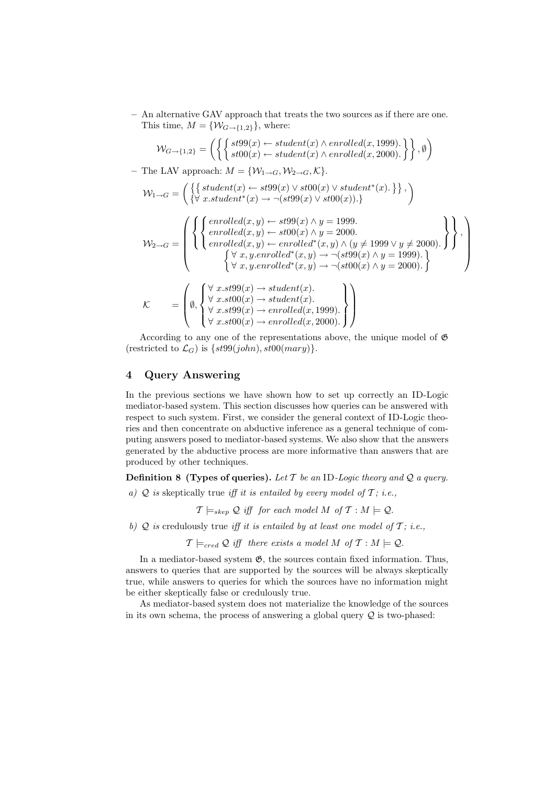– An alternative GAV approach that treats the two sources as if there are one. This time,  $M = \{W_{G \to \{1,2\}}\}\$ , where:

$$
\mathcal{W}_{G \to \{1,2\}} = \left( \left\{ \left\{ \begin{matrix} st99(x) \leftarrow student(x) \land enrolled(x, 1999). \\ st00(x) \leftarrow student(x) \land enrolled(x, 2000). \end{matrix} \right) \right\}, \emptyset \right\}
$$

– The LAV approach:  $M = \{W_{1\rightarrow G}, W_{2\rightarrow G}, \mathcal{K}\}.$ 

$$
\mathcal{W}_{1\rightarrow G} = \begin{pmatrix} \left\{ \left\{ student(x) \leftarrow st99(x) \lor st00(x) \lor student^*(x). \right\} \right\}, \\ \left\{ \forall x. student^*(x) \rightarrow \neg (st99(x) \lor st00(x)). \right\} \end{pmatrix}
$$

$$
\mathcal{W}_{2\rightarrow G} = \begin{pmatrix} \left\{ \left\{ \begin{matrix} enrolled(x, y) \leftarrow st99(x) \land y = 1999. \\ enrolled(x, y) \leftarrow st00(x) \land y = 2000. \\ enrolled(x, y) \leftarrow enrolled^*(x, y) \land (y \neq 1999 \lor y \neq 2000). \right\} \right\}, \\ \left\{ \begin{matrix} \forall x. y. enrolled^*(x, y) \rightarrow \neg (st99(x) \land y = 1999). \\ \forall x. y. enrolled^*(x, y) \rightarrow \neg (st00(x) \land y = 2000). \end{matrix} \right\} \end{pmatrix}, \\ \mathcal{K} = \begin{pmatrix} \left\{ \begin{matrix} \forall x. st99(x) \rightarrow student(x). \\ \forall x. st99(x) \rightarrow student(x). \\ \forall x. st99(x) \rightarrow enrolled(x, 1999). \\ \forall x. st00(x) \rightarrow enrolled(x, 2000). \end{matrix} \right\} \end{pmatrix}
$$

According to any one of the representations above, the unique model of  $\mathfrak{G}$ (restricted to  $\mathcal{L}_G$ ) is  $\{st99(john), st00(mary)\}.$ 

# 4 Query Answering

In the previous sections we have shown how to set up correctly an ID-Logic mediator-based system. This section discusses how queries can be answered with respect to such system. First, we consider the general context of ID-Logic theories and then concentrate on abductive inference as a general technique of computing answers posed to mediator-based systems. We also show that the answers generated by the abductive process are more informative than answers that are produced by other techniques.

**Definition 8 (Types of queries).** Let  $T$  be an ID-Logic theory and  $Q$  a query.

a)  $Q$  is skeptically true iff it is entailed by every model of  $T$ ; i.e.,

 $\mathcal{T} \models_{\text{sken}} \mathcal{Q} \text{ iff for each model } M \text{ of } \mathcal{T} : M \models \mathcal{Q}.$ 

b)  $Q$  is credulously true iff it is entailed by at least one model of  $T$ ; i.e.,

 $\mathcal{T} \models_{\text{cred}} \mathcal{Q}$  iff there exists a model M of  $\mathcal{T} : M \models \mathcal{Q}$ .

In a mediator-based system  $\mathfrak{G}$ , the sources contain fixed information. Thus, answers to queries that are supported by the sources will be always skeptically true, while answers to queries for which the sources have no information might be either skeptically false or credulously true.

As mediator-based system does not materialize the knowledge of the sources in its own schema, the process of answering a global query  $Q$  is two-phased: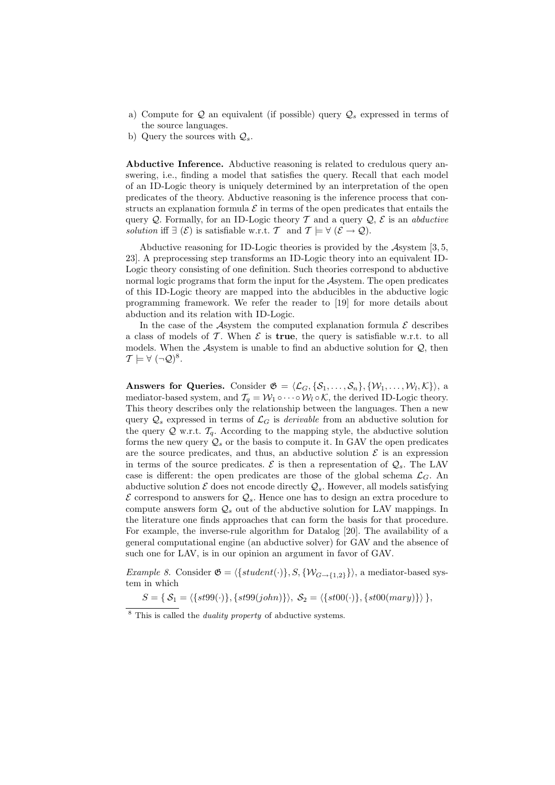- a) Compute for  $Q$  an equivalent (if possible) query  $Q_s$  expressed in terms of the source languages.
- b) Query the sources with  $Q_s$ .

Abductive Inference. Abductive reasoning is related to credulous query answering, i.e., finding a model that satisfies the query. Recall that each model of an ID-Logic theory is uniquely determined by an interpretation of the open predicates of the theory. Abductive reasoning is the inference process that constructs an explanation formula  $\mathcal E$  in terms of the open predicates that entails the query Q. Formally, for an ID-Logic theory T and a query  $\mathcal{Q}, \mathcal{E}$  is an *abductive* solution iff  $\exists (\mathcal{E})$  is satisfiable w.r.t. T and  $\mathcal{T} \models \forall (\mathcal{E} \rightarrow \mathcal{Q})$ .

Abductive reasoning for ID-Logic theories is provided by the  $\mathcal{A}$ system [3,5, 23]. A preprocessing step transforms an ID-Logic theory into an equivalent ID-Logic theory consisting of one definition. Such theories correspond to abductive normal logic programs that form the input for the Asystem. The open predicates of this ID-Logic theory are mapped into the abducibles in the abductive logic programming framework. We refer the reader to [19] for more details about abduction and its relation with ID-Logic.

In the case of the Asystem the computed explanation formula  $\mathcal E$  describes a class of models of T. When  $\mathcal E$  is true, the query is satisfiable w.r.t. to all models. When the Asystem is unable to find an abductive solution for  $Q$ , then  $\mathcal{T} \models \forall (\neg \mathcal{Q})^8.$ 

Answers for Queries. Consider  $\mathfrak{G} = \langle \mathcal{L}_G, \{S_1, \ldots, S_n\}, \{W_1, \ldots, W_l, \mathcal{K}\}\rangle$ , a mediator-based system, and  $\mathcal{T}_q = \mathcal{W}_1 \circ \cdots \circ \mathcal{W}_l \circ \mathcal{K}$ , the derived ID-Logic theory. This theory describes only the relationship between the languages. Then a new query  $\mathcal{Q}_s$  expressed in terms of  $\mathcal{L}_G$  is *derivable* from an abductive solution for the query  $Q$  w.r.t.  $\mathcal{T}_q$ . According to the mapping style, the abductive solution forms the new query  $\mathcal{Q}_s$  or the basis to compute it. In GAV the open predicates are the source predicates, and thus, an abductive solution  $\mathcal E$  is an expression in terms of the source predicates.  $\mathcal E$  is then a representation of  $\mathcal Q_s$ . The LAV case is different: the open predicates are those of the global schema  $\mathcal{L}_G$ . An abductive solution  $\mathcal E$  does not encode directly  $\mathcal Q_s$ . However, all models satisfying  $\mathcal E$  correspond to answers for  $\mathcal Q_s$ . Hence one has to design an extra procedure to compute answers form  $\mathcal{Q}_s$  out of the abductive solution for LAV mappings. In the literature one finds approaches that can form the basis for that procedure. For example, the inverse-rule algorithm for Datalog [20]. The availability of a general computational engine (an abductive solver) for GAV and the absence of such one for LAV, is in our opinion an argument in favor of GAV.

Example 8. Consider  $\mathfrak{G} = \langle \{student(\cdot)\}, S, \{W_{G\to\{1,2\}}\}\rangle$ , a mediator-based system in which

$$
S = \{ S_1 = \langle \{st99(\cdot)\}, \{st99(john)\} \rangle, S_2 = \langle \{st00(\cdot)\}, \{st00(mary)\} \rangle \},
$$

 $8$  This is called the *duality property* of abductive systems.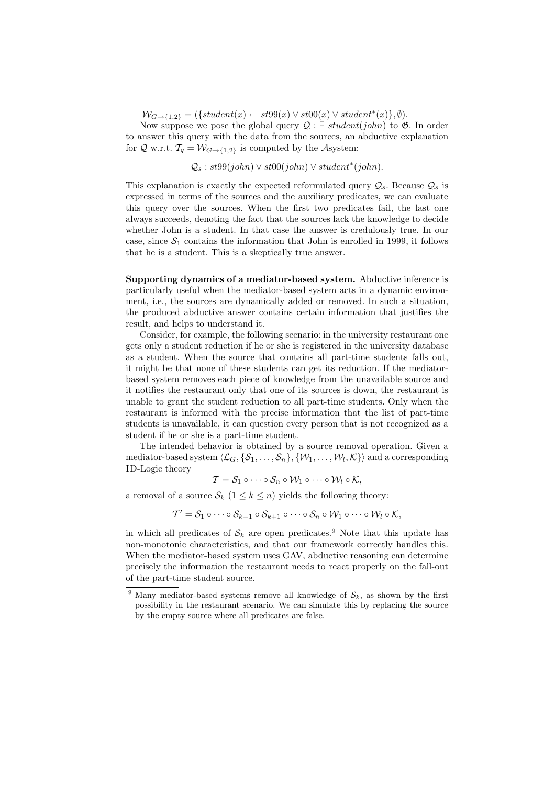$\mathcal{W}_{G \to \{1,2\}} = (\{student(x) \leftarrow st99(x) \lor st00(x) \lor student^*(x)\}, \emptyset).$ 

Now suppose we pose the global query  $\mathcal{Q}$ :  $\exists$  student(john) to  $\mathfrak{G}$ . In order to answer this query with the data from the sources, an abductive explanation for Q w.r.t.  $T_q = \mathcal{W}_{G \to \{1,2\}}$  is computed by the Asystem:

# $Q_s : st99(john) \vee st00(john) \vee student^*(john).$

This explanation is exactly the expected reformulated query  $\mathcal{Q}_s$ . Because  $\mathcal{Q}_s$  is expressed in terms of the sources and the auxiliary predicates, we can evaluate this query over the sources. When the first two predicates fail, the last one always succeeds, denoting the fact that the sources lack the knowledge to decide whether John is a student. In that case the answer is credulously true. In our case, since  $S_1$  contains the information that John is enrolled in 1999, it follows that he is a student. This is a skeptically true answer.

Supporting dynamics of a mediator-based system. Abductive inference is particularly useful when the mediator-based system acts in a dynamic environment, i.e., the sources are dynamically added or removed. In such a situation, the produced abductive answer contains certain information that justifies the result, and helps to understand it.

Consider, for example, the following scenario: in the university restaurant one gets only a student reduction if he or she is registered in the university database as a student. When the source that contains all part-time students falls out, it might be that none of these students can get its reduction. If the mediatorbased system removes each piece of knowledge from the unavailable source and it notifies the restaurant only that one of its sources is down, the restaurant is unable to grant the student reduction to all part-time students. Only when the restaurant is informed with the precise information that the list of part-time students is unavailable, it can question every person that is not recognized as a student if he or she is a part-time student.

The intended behavior is obtained by a source removal operation. Given a mediator-based system  $\langle \mathcal{L}_G, \{\mathcal{S}_1, \ldots, \mathcal{S}_n\}, \{\mathcal{W}_1, \ldots, \mathcal{W}_l, \mathcal{K}\} \rangle$  and a corresponding ID-Logic theory

$$
\mathcal{T} = \mathcal{S}_1 \circ \cdots \circ \mathcal{S}_n \circ \mathcal{W}_1 \circ \cdots \circ \mathcal{W}_l \circ \mathcal{K},
$$

a removal of a source  $S_k$   $(1 \leq k \leq n)$  yields the following theory:

$$
\mathcal{T}' = \mathcal{S}_1 \circ \cdots \circ \mathcal{S}_{k-1} \circ \mathcal{S}_{k+1} \circ \cdots \circ \mathcal{S}_n \circ \mathcal{W}_1 \circ \cdots \circ \mathcal{W}_l \circ \mathcal{K},
$$

in which all predicates of  $S_k$  are open predicates.<sup>9</sup> Note that this update has non-monotonic characteristics, and that our framework correctly handles this. When the mediator-based system uses GAV, abductive reasoning can determine precisely the information the restaurant needs to react properly on the fall-out of the part-time student source.

<sup>&</sup>lt;sup>9</sup> Many mediator-based systems remove all knowledge of  $S_k$ , as shown by the first possibility in the restaurant scenario. We can simulate this by replacing the source by the empty source where all predicates are false.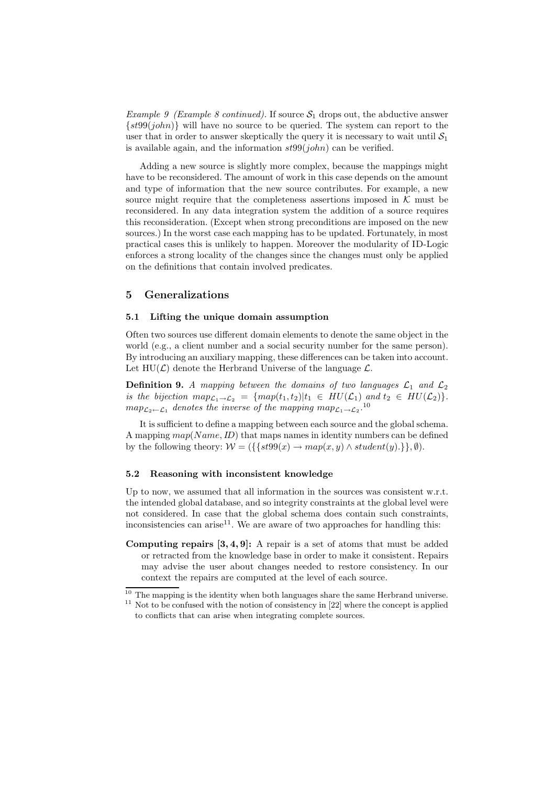*Example 9 (Example 8 continued)*. If source  $S_1$  drops out, the abductive answer  $\{st99(john)\}\$  will have no source to be queried. The system can report to the user that in order to answer skeptically the query it is necessary to wait until  $S_1$ is available again, and the information  $st99(john)$  can be verified.

Adding a new source is slightly more complex, because the mappings might have to be reconsidered. The amount of work in this case depends on the amount and type of information that the new source contributes. For example, a new source might require that the completeness assertions imposed in  $K$  must be reconsidered. In any data integration system the addition of a source requires this reconsideration. (Except when strong preconditions are imposed on the new sources.) In the worst case each mapping has to be updated. Fortunately, in most practical cases this is unlikely to happen. Moreover the modularity of ID-Logic enforces a strong locality of the changes since the changes must only be applied on the definitions that contain involved predicates.

### 5 Generalizations

#### 5.1 Lifting the unique domain assumption

Often two sources use different domain elements to denote the same object in the world (e.g., a client number and a social security number for the same person). By introducing an auxiliary mapping, these differences can be taken into account. Let  $HU(\mathcal{L})$  denote the Herbrand Universe of the language  $\mathcal{L}$ .

**Definition 9.** A mapping between the domains of two languages  $\mathcal{L}_1$  and  $\mathcal{L}_2$ is the bijection  $map_{\mathcal{L}_1 \to \mathcal{L}_2} = \{map(t_1, t_2)|t_1 \in HU(\mathcal{L}_1) \text{ and } t_2 \in HU(\mathcal{L}_2)\}.$  $map_{\mathcal{L}_2 \leftarrow \mathcal{L}_1}$  denotes the inverse of the mapping  $map_{\mathcal{L}_1 \rightarrow \mathcal{L}_2}$ .<sup>10</sup>

It is sufficient to define a mapping between each source and the global schema. A mapping  $map(Name, ID)$  that maps names in identity numbers can be defined by the following theory:  $W = (\{\{st99(x) \rightarrow map(x, y) \land student(y).\}\}, \emptyset).$ 

### 5.2 Reasoning with inconsistent knowledge

Up to now, we assumed that all information in the sources was consistent w.r.t. the intended global database, and so integrity constraints at the global level were not considered. In case that the global schema does contain such constraints, inconsistencies can arise<sup>11</sup>. We are aware of two approaches for handling this:

Computing repairs [3, 4, 9]: A repair is a set of atoms that must be added or retracted from the knowledge base in order to make it consistent. Repairs may advise the user about changes needed to restore consistency. In our context the repairs are computed at the level of each source.

<sup>&</sup>lt;sup>10</sup> The mapping is the identity when both languages share the same Herbrand universe.  $11$  Not to be confused with the notion of consistency in [22] where the concept is applied to conflicts that can arise when integrating complete sources.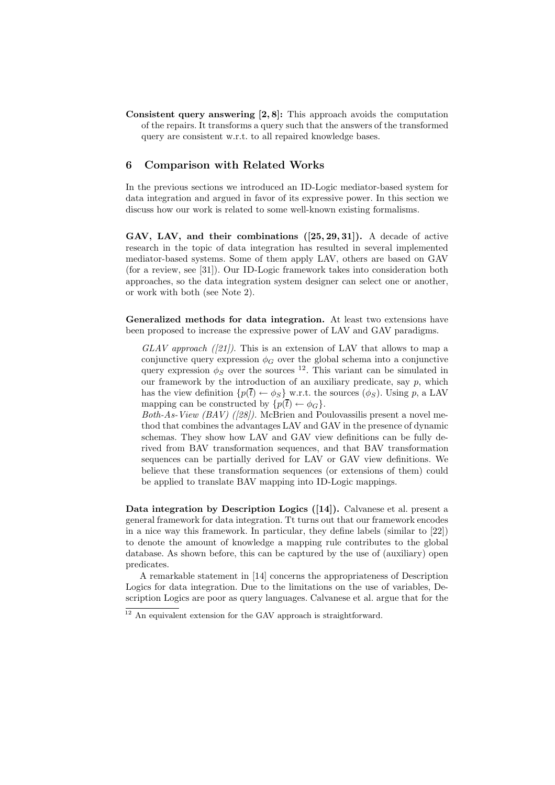Consistent query answering [2, 8]: This approach avoids the computation of the repairs. It transforms a query such that the answers of the transformed query are consistent w.r.t. to all repaired knowledge bases.

# 6 Comparison with Related Works

In the previous sections we introduced an ID-Logic mediator-based system for data integration and argued in favor of its expressive power. In this section we discuss how our work is related to some well-known existing formalisms.

GAV, LAV, and their combinations ([25, 29, 31]). A decade of active research in the topic of data integration has resulted in several implemented mediator-based systems. Some of them apply LAV, others are based on GAV (for a review, see [31]). Our ID-Logic framework takes into consideration both approaches, so the data integration system designer can select one or another, or work with both (see Note 2).

Generalized methods for data integration. At least two extensions have been proposed to increase the expressive power of LAV and GAV paradigms.

 $GLAV$  approach  $([21])$ . This is an extension of LAV that allows to map a conjunctive query expression  $\phi_G$  over the global schema into a conjunctive query expression  $\phi_S$  over the sources <sup>12</sup>. This variant can be simulated in our framework by the introduction of an auxiliary predicate, say  $p$ , which has the view definition  $\{p(\bar{t}) \leftarrow \phi_S\}$  w.r.t. the sources  $(\phi_S)$ . Using p, a LAV mapping can be constructed by  $\{p(\overline{t}) \leftarrow \phi_G\}.$ 

Both-As-View (BAV) ([28]). McBrien and Poulovassilis present a novel method that combines the advantages LAV and GAV in the presence of dynamic schemas. They show how LAV and GAV view definitions can be fully derived from BAV transformation sequences, and that BAV transformation sequences can be partially derived for LAV or GAV view definitions. We believe that these transformation sequences (or extensions of them) could be applied to translate BAV mapping into ID-Logic mappings.

Data integration by Description Logics ([14]). Calvanese et al. present a general framework for data integration. Tt turns out that our framework encodes in a nice way this framework. In particular, they define labels (similar to [22]) to denote the amount of knowledge a mapping rule contributes to the global database. As shown before, this can be captured by the use of (auxiliary) open predicates.

A remarkable statement in [14] concerns the appropriateness of Description Logics for data integration. Due to the limitations on the use of variables, Description Logics are poor as query languages. Calvanese et al. argue that for the

<sup>&</sup>lt;sup>12</sup> An equivalent extension for the GAV approach is straightforward.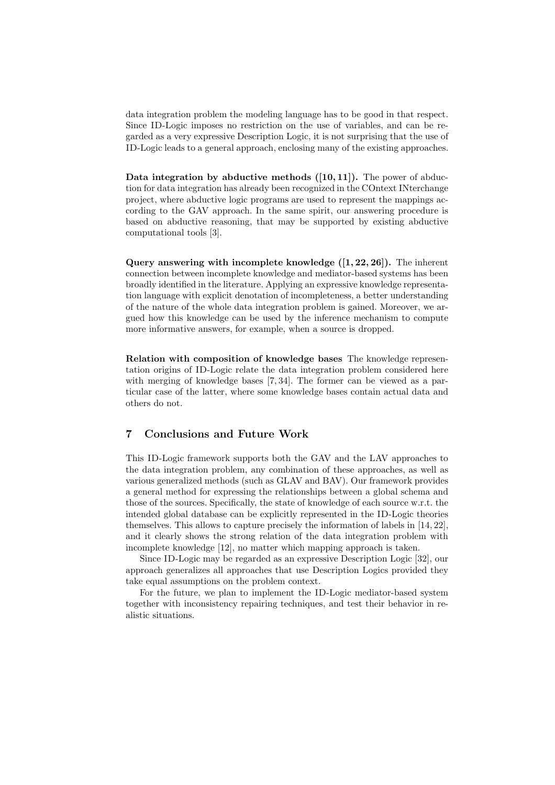data integration problem the modeling language has to be good in that respect. Since ID-Logic imposes no restriction on the use of variables, and can be regarded as a very expressive Description Logic, it is not surprising that the use of ID-Logic leads to a general approach, enclosing many of the existing approaches.

Data integration by abductive methods  $([10, 11])$ . The power of abduction for data integration has already been recognized in the COntext INterchange project, where abductive logic programs are used to represent the mappings according to the GAV approach. In the same spirit, our answering procedure is based on abductive reasoning, that may be supported by existing abductive computational tools [3].

Query answering with incomplete knowledge  $([1, 22, 26])$ . The inherent connection between incomplete knowledge and mediator-based systems has been broadly identified in the literature. Applying an expressive knowledge representation language with explicit denotation of incompleteness, a better understanding of the nature of the whole data integration problem is gained. Moreover, we argued how this knowledge can be used by the inference mechanism to compute more informative answers, for example, when a source is dropped.

Relation with composition of knowledge bases The knowledge representation origins of ID-Logic relate the data integration problem considered here with merging of knowledge bases [7, 34]. The former can be viewed as a particular case of the latter, where some knowledge bases contain actual data and others do not.

# 7 Conclusions and Future Work

This ID-Logic framework supports both the GAV and the LAV approaches to the data integration problem, any combination of these approaches, as well as various generalized methods (such as GLAV and BAV). Our framework provides a general method for expressing the relationships between a global schema and those of the sources. Specifically, the state of knowledge of each source w.r.t. the intended global database can be explicitly represented in the ID-Logic theories themselves. This allows to capture precisely the information of labels in [14, 22], and it clearly shows the strong relation of the data integration problem with incomplete knowledge [12], no matter which mapping approach is taken.

Since ID-Logic may be regarded as an expressive Description Logic [32], our approach generalizes all approaches that use Description Logics provided they take equal assumptions on the problem context.

For the future, we plan to implement the ID-Logic mediator-based system together with inconsistency repairing techniques, and test their behavior in realistic situations.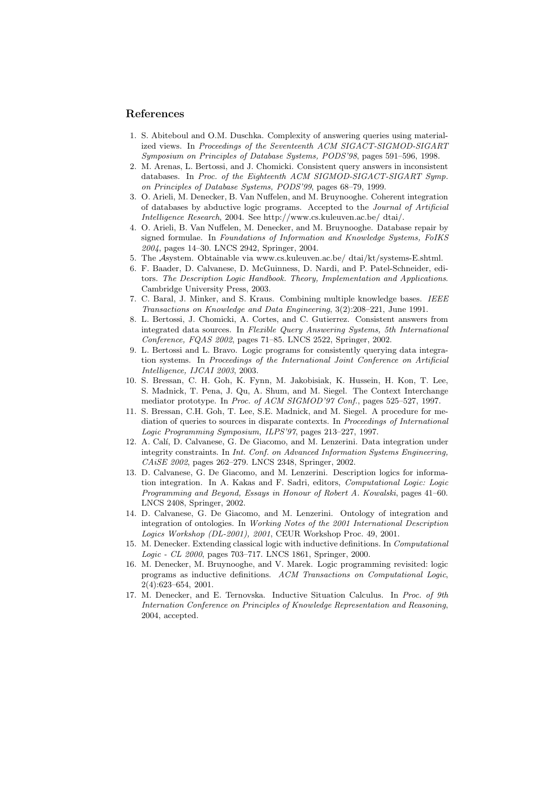## References

- 1. S. Abiteboul and O.M. Duschka. Complexity of answering queries using materialized views. In Proceedings of the Seventeenth ACM SIGACT-SIGMOD-SIGART Symposium on Principles of Database Systems, PODS'98, pages 591–596, 1998.
- 2. M. Arenas, L. Bertossi, and J. Chomicki. Consistent query answers in inconsistent databases. In Proc. of the Eighteenth ACM SIGMOD-SIGACT-SIGART Symp. on Principles of Database Systems, PODS'99, pages 68–79, 1999.
- 3. O. Arieli, M. Denecker, B. Van Nuffelen, and M. Bruynooghe. Coherent integration of databases by abductive logic programs. Accepted to the Journal of Artificial Intelligence Research, 2004. See http://www.cs.kuleuven.ac.be/ dtai/.
- 4. O. Arieli, B. Van Nuffelen, M. Denecker, and M. Bruynooghe. Database repair by signed formulae. In Foundations of Information and Knowledge Systems, FoIKS 2004, pages 14–30. LNCS 2942, Springer, 2004.
- 5. The Asystem. Obtainable via www.cs.kuleuven.ac.be/ dtai/kt/systems-E.shtml.
- 6. F. Baader, D. Calvanese, D. McGuinness, D. Nardi, and P. Patel-Schneider, editors. The Description Logic Handbook. Theory, Implementation and Applications. Cambridge University Press, 2003.
- 7. C. Baral, J. Minker, and S. Kraus. Combining multiple knowledge bases. IEEE Transactions on Knowledge and Data Engineering, 3(2):208–221, June 1991.
- 8. L. Bertossi, J. Chomicki, A. Cortes, and C. Gutierrez. Consistent answers from integrated data sources. In Flexible Query Answering Systems, 5th International Conference, FQAS 2002, pages 71–85. LNCS 2522, Springer, 2002.
- 9. L. Bertossi and L. Bravo. Logic programs for consistently querying data integration systems. In Proceedings of the International Joint Conference on Artificial Intelligence, IJCAI 2003, 2003.
- 10. S. Bressan, C. H. Goh, K. Fynn, M. Jakobisiak, K. Hussein, H. Kon, T. Lee, S. Madnick, T. Pena, J. Qu, A. Shum, and M. Siegel. The Context Interchange mediator prototype. In Proc. of ACM SIGMOD'97 Conf., pages 525–527, 1997.
- 11. S. Bressan, C.H. Goh, T. Lee, S.E. Madnick, and M. Siegel. A procedure for mediation of queries to sources in disparate contexts. In Proceedings of International Logic Programming Symposium, ILPS'97, pages 213–227, 1997.
- 12. A. Cal´ı, D. Calvanese, G. De Giacomo, and M. Lenzerini. Data integration under integrity constraints. In Int. Conf. on Advanced Information Systems Engineering, CAiSE 2002, pages 262–279. LNCS 2348, Springer, 2002.
- 13. D. Calvanese, G. De Giacomo, and M. Lenzerini. Description logics for information integration. In A. Kakas and F. Sadri, editors, Computational Logic: Logic Programming and Beyond, Essays in Honour of Robert A. Kowalski, pages 41–60. LNCS 2408, Springer, 2002.
- 14. D. Calvanese, G. De Giacomo, and M. Lenzerini. Ontology of integration and integration of ontologies. In Working Notes of the 2001 International Description Logics Workshop (DL-2001), 2001, CEUR Workshop Proc. 49, 2001.
- 15. M. Denecker. Extending classical logic with inductive definitions. In Computational Logic - CL 2000, pages 703–717. LNCS 1861, Springer, 2000.
- 16. M. Denecker, M. Bruynooghe, and V. Marek. Logic programming revisited: logic programs as inductive definitions. ACM Transactions on Computational Logic, 2(4):623–654, 2001.
- 17. M. Denecker, and E. Ternovska. Inductive Situation Calculus. In Proc. of 9th Internation Conference on Principles of Knowledge Representation and Reasoning, 2004, accepted.